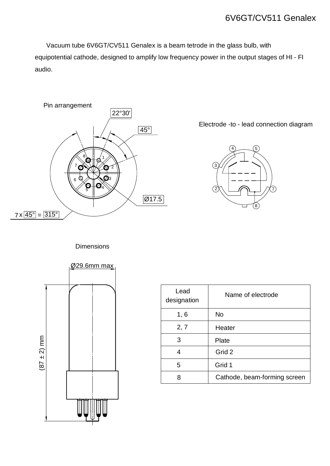## 6V6GT/CV511 Genalex

 Vacuum tube 6V6GT/CV511 Genalex is a beam tetrode in the glass bulb, with equipotential cathode, designed to amplify low frequency power in the output stages of HI - FI audio.



Electrode -to - lead connection diagram



**Dimensions** 



| Lead<br>designation | Name of electrode            |
|---------------------|------------------------------|
| 1, 6                | <b>No</b>                    |
| 2, 7                | Heater                       |
| 3                   | Plate                        |
| 4                   | Grid 2                       |
| 5                   | Grid 1                       |
| 8                   | Cathode, beam-forming screen |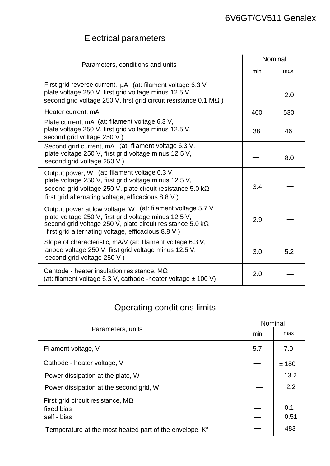## Electrical parameters

| Parameters, conditions and units                                                                                                                                                                                                        |     | Nominal |  |
|-----------------------------------------------------------------------------------------------------------------------------------------------------------------------------------------------------------------------------------------|-----|---------|--|
|                                                                                                                                                                                                                                         |     | max     |  |
| First grid reverse current, µA (at: filament voltage 6.3 V<br>plate voltage 250 V, first grid voltage minus 12.5 V,<br>second grid voltage 250 V, first grid circuit resistance 0.1 MΩ)                                                 |     | 2.0     |  |
| Heater current, mA                                                                                                                                                                                                                      | 460 | 530     |  |
| Plate current, mA (at: filament voltage 6.3 V,<br>plate voltage 250 V, first grid voltage minus 12.5 V,<br>second grid voltage 250 V)                                                                                                   | 38  | 46      |  |
| Second grid current, mA (at: filament voltage 6.3 V,<br>plate voltage 250 V, first grid voltage minus 12.5 V,<br>second grid voltage 250 V)                                                                                             |     | 8.0     |  |
| Output power, W (at: filament voltage 6.3 V,<br>plate voltage 250 V, first grid voltage minus 12.5 V,<br>second grid voltage 250 V, plate circuit resistance 5.0 kΩ<br>first grid alternating voltage, efficacious 8.8 V)               | 3.4 |         |  |
| Output power at low voltage, W (at: filament voltage 5.7 V<br>plate voltage 250 V, first grid voltage minus 12.5 V,<br>second grid voltage 250 V, plate circuit resistance 5.0 kΩ<br>first grid alternating voltage, efficacious 8.8 V) | 2.9 |         |  |
| Slope of characteristic, mA/V (at: filament voltage 6.3 V,<br>anode voltage 250 V, first grid voltage minus 12.5 V,<br>second grid voltage 250 V)                                                                                       | 3.0 | 5.2     |  |
| Cahtode - heater insulation resistance, $M\Omega$<br>(at: filament voltage 6.3 V, cathode -heater voltage $\pm$ 100 V)                                                                                                                  |     |         |  |

## Operating conditions limits

| Parameters, units                                       |     | Nominal |  |
|---------------------------------------------------------|-----|---------|--|
|                                                         |     | max     |  |
| Filament voltage, V                                     | 5.7 | 7.0     |  |
| Cathode - heater voltage, V                             |     | ±180    |  |
| Power dissipation at the plate, W                       |     | 13.2    |  |
| Power dissipation at the second grid, W                 |     | 2.2     |  |
| First grid circuit resistance, $M\Omega$                |     |         |  |
| fixed bias                                              |     | 0.1     |  |
| self - bias                                             |     | 0.51    |  |
| Temperature at the most heated part of the envelope, K° |     | 483     |  |